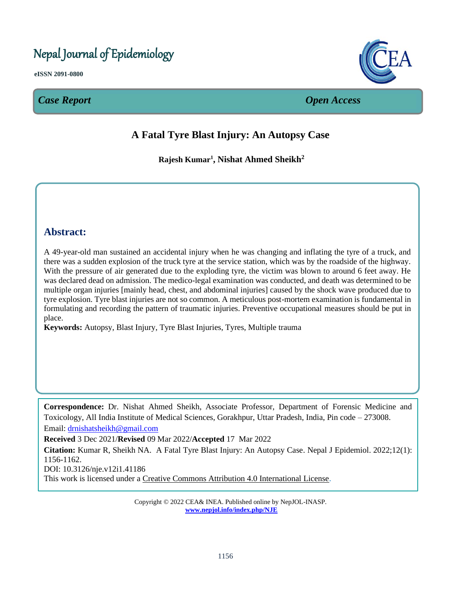# Nepal Journal of Epidemiology

**eISSN 2091-0800**

# *Case Report Open Access*



# **A Fatal Tyre Blast Injury: An Autopsy Case**   $\overline{\phantom{a}}$

**Rajesh Kumar<sup>1</sup> , Nishat Ahmed Sheikh<sup>2</sup>**

# **Abstract:**

A 49-year-old man sustained an accidental injury when he was changing and inflating the tyre of a truck, and there was a sudden explosion of the truck tyre at the service station, which was by the roadside of the highway. With the pressure of air generated due to the exploding tyre, the victim was blown to around 6 feet away. He was declared dead on admission. The medico-legal examination was conducted, and death was determined to be multiple organ injuries [mainly head, chest, and abdominal injuries] caused by the shock wave produced due to tyre explosion. Tyre blast injuries are not so common. A meticulous post-mortem examination is fundamental in formulating and recording the pattern of traumatic injuries. Preventive occupational measures should be put in place.

**Keywords:** Autopsy, Blast Injury, Tyre Blast Injuries, Tyres, Multiple trauma

**Correspondence:** Dr. Nishat Ahmed Sheikh, Associate Professor, Department of Forensic Medicine and Toxicology, All India Institute of Medical Sciences, Gorakhpur, Uttar Pradesh, India, Pin code – 273008. Email: [drnishatsheikh@gmail.com](mailto:drnishatsheikh@gmail.com)

**Received** 3 Dec 2021/**Revised** 09 Mar 2022/**Accepted** 17 Mar 2022

**Citation:** Kumar R, Sheikh NA. A Fatal Tyre Blast Injury: An Autopsy Case. Nepal J Epidemiol. 2022;12(1): 1156-1162.

DOI: 10.3126/nje.v12i1.41186

This work is licensed under a [Creative Commons Attribution 4.0 International License.](http://creativecommons.org/licenses/by/4.0/)

Copyright © 2022 CEA& INEA. Published online by NepJOL-INASP. **[www.nepjol.info/index.php/NJE](http://www.nepjol.info/index.php/NJE)**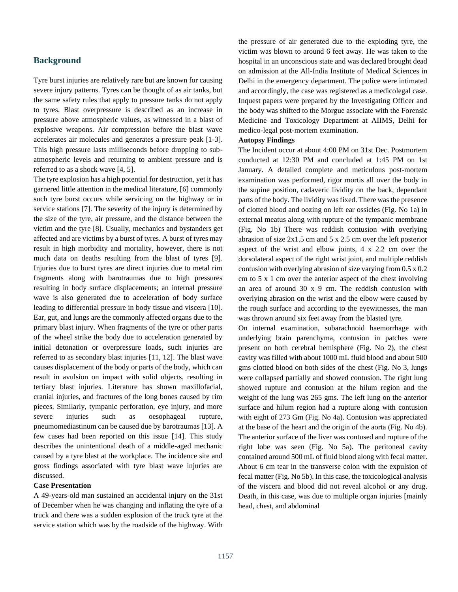#### **Background**

Tyre burst injuries are relatively rare but are known for causing severe injury patterns. Tyres can be thought of as air tanks, but the same safety rules that apply to pressure tanks do not apply to tyres. Blast overpressure is described as an increase in pressure above atmospheric values, as witnessed in a blast of explosive weapons. Air compression before the blast wave accelerates air molecules and generates a pressure peak [1-3]. This high pressure lasts milliseconds before dropping to subatmospheric levels and returning to ambient pressure and is referred to as a shock wave [4, 5].

The tyre explosion has a high potential for destruction, yet it has garnered little attention in the medical literature, [6] commonly such tyre burst occurs while servicing on the highway or in service stations [7]. The severity of the injury is determined by the size of the tyre, air pressure, and the distance between the victim and the tyre [8]. Usually, mechanics and bystanders get affected and are victims by a burst of tyres. A burst of tyres may result in high morbidity and mortality, however, there is not much data on deaths resulting from the blast of tyres [9]. Injuries due to burst tyres are direct injuries due to metal rim fragments along with barotraumas due to high pressures resulting in body surface displacements; an internal pressure wave is also generated due to acceleration of body surface leading to differential pressure in body tissue and viscera [10]. Ear, gut, and lungs are the commonly affected organs due to the primary blast injury. When fragments of the tyre or other parts of the wheel strike the body due to acceleration generated by initial detonation or overpressure loads, such injuries are referred to as secondary blast injuries [11, 12]. The blast wave causes displacement of the body or parts of the body, which can result in avulsion on impact with solid objects, resulting in tertiary blast injuries. Literature has shown maxillofacial, cranial injuries, and fractures of the long bones caused by rim pieces. Similarly, tympanic perforation, eye injury, and more severe injuries such as oesophageal rupture, pneumomediastinum can be caused due by barotraumas [13]. A few cases had been reported on this issue [14]. This study describes the unintentional death of a middle-aged mechanic caused by a tyre blast at the workplace. The incidence site and gross findings associated with tyre blast wave injuries are discussed.

#### **Case Presentation**

A 49-years-old man sustained an accidental injury on the 31st of December when he was changing and inflating the tyre of a truck and there was a sudden explosion of the truck tyre at the service station which was by the roadside of the highway. With the pressure of air generated due to the exploding tyre, the victim was blown to around 6 feet away. He was taken to the hospital in an unconscious state and was declared brought dead on admission at the All-India Institute of Medical Sciences in Delhi in the emergency department. The police were intimated and accordingly, the case was registered as a medicolegal case. Inquest papers were prepared by the Investigating Officer and the body was shifted to the Morgue associate with the Forensic Medicine and Toxicology Department at AIIMS, Delhi for medico-legal post-mortem examination.

#### **Autopsy Findings**

The Incident occur at about 4:00 PM on 31st Dec. Postmortem conducted at 12:30 PM and concluded at 1:45 PM on 1st January. A detailed complete and meticulous post-mortem examination was performed, rigor mortis all over the body in the supine position, cadaveric lividity on the back, dependant parts of the body. The lividity was fixed. There was the presence of clotted blood and oozing on left ear ossicles (Fig. No 1a) in external meatus along with rupture of the tympanic membrane (Fig. No 1b) There was reddish contusion with overlying abrasion of size 2x1.5 cm and 5 x 2.5 cm over the left posterior aspect of the wrist and elbow joints, 4 x 2.2 cm over the dorsolateral aspect of the right wrist joint, and multiple reddish contusion with overlying abrasion of size varying from 0.5 x 0.2 cm to 5 x 1 cm over the anterior aspect of the chest involving an area of around 30 x 9 cm. The reddish contusion with overlying abrasion on the wrist and the elbow were caused by the rough surface and according to the eyewitnesses, the man was thrown around six feet away from the blasted tyre.

On internal examination, subarachnoid haemorrhage with underlying brain parenchyma, contusion in patches were present on both cerebral hemisphere (Fig. No 2), the chest cavity was filled with about 1000 mL fluid blood and about 500 gms clotted blood on both sides of the chest (Fig. No 3, lungs were collapsed partially and showed contusion. The right lung showed rupture and contusion at the hilum region and the weight of the lung was 265 gms. The left lung on the anterior surface and hilum region had a rupture along with contusion with eight of 273 Gm (Fig. No 4a). Contusion was appreciated at the base of the heart and the origin of the aorta (Fig. No 4b). The anterior surface of the liver was contused and rupture of the right lobe was seen (Fig. No 5a). The peritoneal cavity contained around 500 mL of fluid blood along with fecal matter. About 6 cm tear in the transverse colon with the expulsion of fecal matter (Fig. No 5b). In this case, the toxicological analysis of the viscera and blood did not reveal alcohol or any drug. Death, in this case, was due to multiple organ injuries [mainly head, chest, and abdominal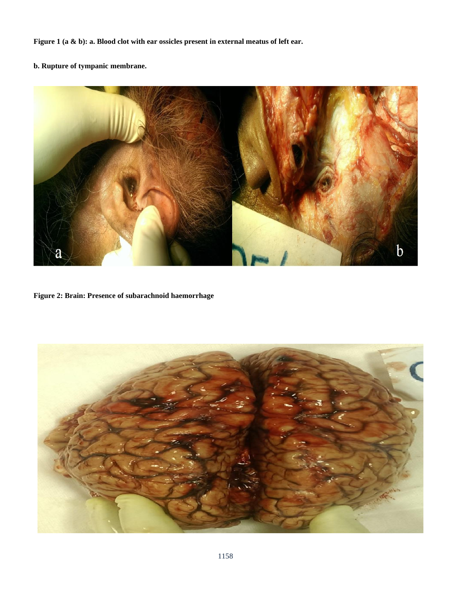Figure 1 (a & b): a. Blood clot with ear ossicles present in external meatus of left ear.

**b. Rupture of tympanic membrane.**



**Figure 2: Brain: Presence of subarachnoid haemorrhage**

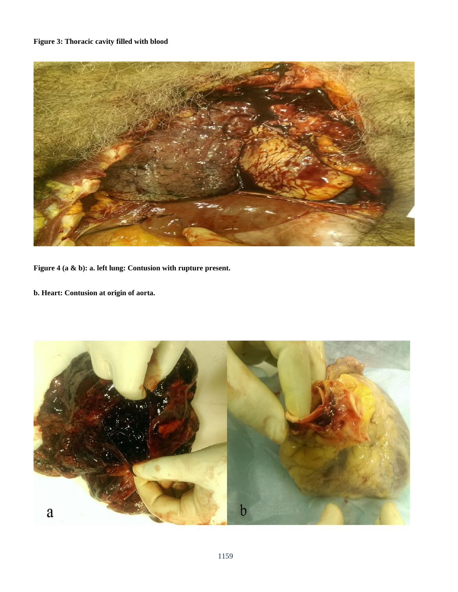# **Figure 3: Thoracic cavity filled with blood**



**Figure 4 (a & b): a. left lung: Contusion with rupture present.** 

**b. Heart: Contusion at origin of aorta.**

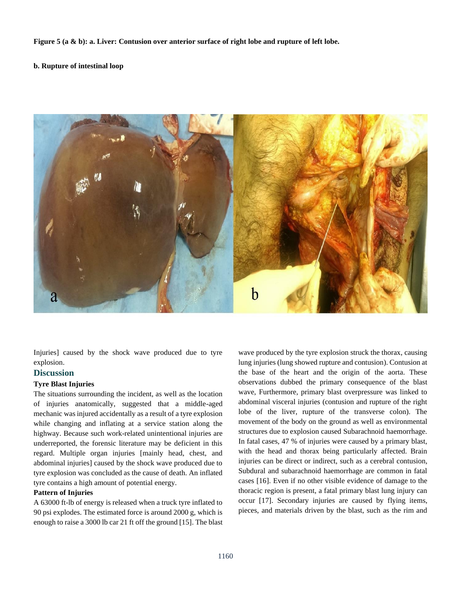**Figure 5 (a & b): a. Liver: Contusion over anterior surface of right lobe and rupture of left lobe.** 

#### **b. Rupture of intestinal loop**



Injuries] caused by the shock wave produced due to tyre explosion.

#### **Discussion**

#### **Tyre Blast Injuries**

The situations surrounding the incident, as well as the location of injuries anatomically, suggested that a middle-aged mechanic was injured accidentally as a result of a tyre explosion while changing and inflating at a service station along the highway. Because such work-related unintentional injuries are underreported, the forensic literature may be deficient in this regard. Multiple organ injuries [mainly head, chest, and abdominal injuries] caused by the shock wave produced due to tyre explosion was concluded as the cause of death. An inflated tyre contains a high amount of potential energy.

#### **Pattern of Injuries**

A 63000 ft-lb of energy is released when a truck tyre inflated to 90 psi explodes. The estimated force is around 2000 g, which is enough to raise a 3000 lb car 21 ft off the ground [15]. The blast wave produced by the tyre explosion struck the thorax, causing lung injuries (lung showed rupture and contusion). Contusion at the base of the heart and the origin of the aorta. These observations dubbed the primary consequence of the blast wave, Furthermore, primary blast overpressure was linked to abdominal visceral injuries (contusion and rupture of the right lobe of the liver, rupture of the transverse colon). The movement of the body on the ground as well as environmental structures due to explosion caused Subarachnoid haemorrhage. In fatal cases, 47 % of injuries were caused by a primary blast, with the head and thorax being particularly affected. Brain injuries can be direct or indirect, such as a cerebral contusion, Subdural and subarachnoid haemorrhage are common in fatal cases [16]. Even if no other visible evidence of damage to the thoracic region is present, a fatal primary blast lung injury can occur [17]. Secondary injuries are caused by flying items, pieces, and materials driven by the blast, such as the rim and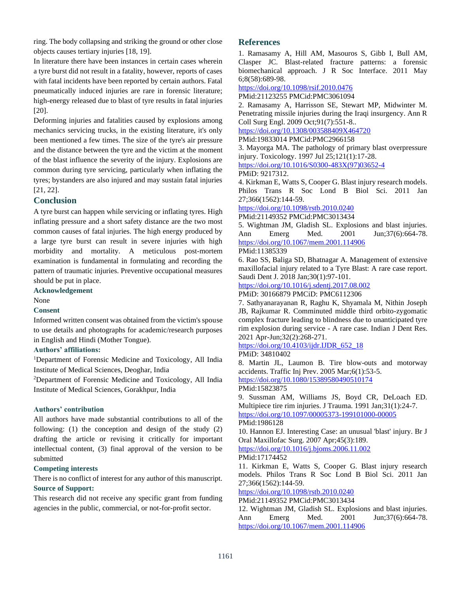ring. The body collapsing and striking the ground or other close objects causes tertiary injuries [18, 19].

In literature there have been instances in certain cases wherein a tyre burst did not result in a fatality, however, reports of cases with fatal incidents have been reported by certain authors. Fatal pneumatically induced injuries are rare in forensic literature; high-energy released due to blast of tyre results in fatal injuries [20].

Deforming injuries and fatalities caused by explosions among mechanics servicing trucks, in the existing literature, it's only been mentioned a few times. The size of the tyre's air pressure and the distance between the tyre and the victim at the moment of the blast influence the severity of the injury. Explosions are common during tyre servicing, particularly when inflating the tyres; bystanders are also injured and may sustain fatal injuries [21, 22].

# **Conclusion**

A tyre burst can happen while servicing or inflating tyres. High inflating pressure and a short safety distance are the two most common causes of fatal injuries. The high energy produced by a large tyre burst can result in severe injuries with high morbidity and mortality. A meticulous post-mortem examination is fundamental in formulating and recording the pattern of traumatic injuries. Preventive occupational measures should be put in place.

#### **Acknowledgement**

None

#### **Consent**

Informed written consent was obtained from the victim's spouse to use details and photographs for academic/research purposes in English and Hindi (Mother Tongue).

#### **Authors' affiliations:**

<sup>1</sup>Department of Forensic Medicine and Toxicology, All India Institute of Medical Sciences, Deoghar, India

<sup>2</sup>Department of Forensic Medicine and Toxicology, All India Institute of Medical Sciences, Gorakhpur, India

### **Authors' contribution**

All authors have made substantial contributions to all of the following: (1) the conception and design of the study (2) drafting the article or revising it critically for important intellectual content, (3) final approval of the version to be submitted

#### **Competing interests**

There is no conflict of interest for any author of this manuscript. **Source of Support:**

This research did not receive any specific grant from funding agencies in the public, commercial, or not-for-profit sector.

### **References**

1. Ramasamy A, Hill AM, Masouros S, Gibb I, Bull AM, Clasper JC. Blast-related fracture patterns: a forensic biomechanical approach. J R Soc Interface. 2011 May 6;8(58):689-98.

<https://doi.org/10.1098/rsif.2010.0476>

PMid:21123255 PMCid:PMC3061094

2. Ramasamy A, Harrisson SE, Stewart MP, Midwinter M. Penetrating missile injuries during the Iraqi insurgency. Ann R Coll Surg Engl. 2009 Oct;91(7):551-8..

<https://doi.org/10.1308/003588409X464720>

PMid:19833014 PMCid:PMC2966158

3. Mayorga MA. The pathology of primary blast overpressure injury. Toxicology. 1997 Jul 25;121(1):17-28.

[https://doi.org/10.1016/S0300-483X\(97\)03652-4](https://doi.org/10.1016/S0300-483X(97)03652-4)

PMiD: 9217312.

4. Kirkman E, Watts S, Cooper G. Blast injury research models. Philos Trans R Soc Lond B Biol Sci. 2011 Jan 27;366(1562):144-59.

<https://doi.org/10.1098/rstb.2010.0240> PMid:21149352 PMCid:PMC3013434

5. Wightman JM, Gladish SL. Explosions and blast injuries. Ann Emerg Med. 2001 Jun;37(6):664-78. <https://doi.org/10.1067/mem.2001.114906>

PMid:11385339

6. Rao SS, Baliga SD, Bhatnagar A. Management of extensive maxillofacial injury related to a Tyre Blast: A rare case report. Saudi Dent J. 2018 Jan;30(1):97-101.

<https://doi.org/10.1016/j.sdentj.2017.08.002>

PMiD: 30166879 PMCiD: PMC6112306

7. Sathyanarayanan R, Raghu K, Shyamala M, Nithin Joseph JB, Rajkumar R. Comminuted middle third orbito-zygomatic complex fracture leading to blindness due to unanticipated tyre rim explosion during service - A rare case. Indian J Dent Res. 2021 Apr-Jun;32(2):268-271.

[https://doi.org/10.4103/ijdr.IJDR\\_652\\_18](https://doi.org/10.4103/ijdr.IJDR_652_18) PMiD: 34810402

8. Martin JL, Laumon B. Tire blow-outs and motorway accidents. Traffic Inj Prev. 2005 Mar;6(1):53-5.

<https://doi.org/10.1080/15389580490510174>

PMid:15823875

9. Sussman AM, Williams JS, Boyd CR, DeLoach ED. Multipiece tire rim injuries. J Trauma. 1991 Jan;31(1):24-7. <https://doi.org/10.1097/00005373-199101000-00005>

PMid:1986128

10. Hannon EJ. Interesting Case: an unusual 'blast' injury. Br J Oral Maxillofac Surg. 2007 Apr;45(3):189. <https://doi.org/10.1016/j.bjoms.2006.11.002>

PMid:17174452

11. Kirkman E, Watts S, Cooper G. Blast injury research models. Philos Trans R Soc Lond B Biol Sci. 2011 Jan 27;366(1562):144-59.

<https://doi.org/10.1098/rstb.2010.0240>

PMid:21149352 PMCid:PMC3013434

12. Wightman JM, Gladish SL. Explosions and blast injuries. Ann Emerg Med. 2001 Jun;37(6):664-78. <https://doi.org/10.1067/mem.2001.114906>